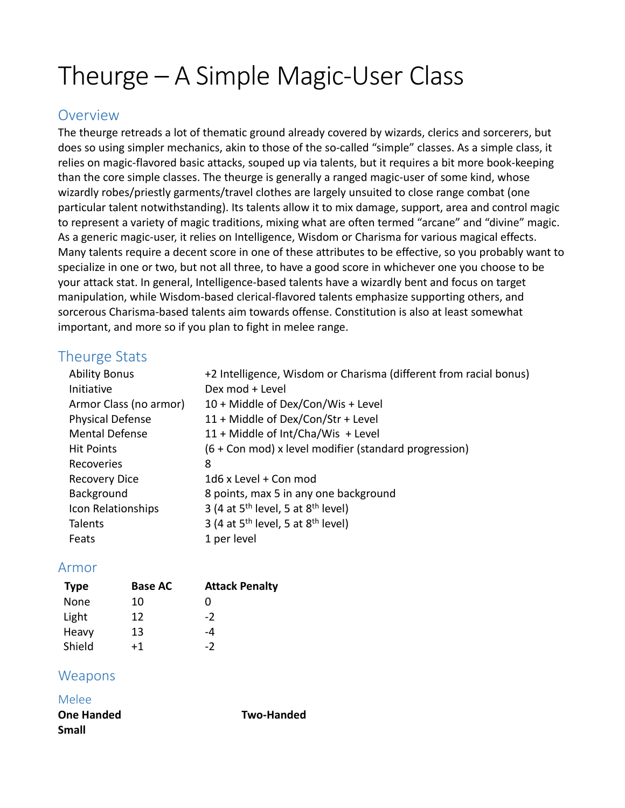# Theurge – A Simple Magic-User Class

# **Overview**

The theurge retreads a lot of thematic ground already covered by wizards, clerics and sorcerers, but does so using simpler mechanics, akin to those of the so-called "simple" classes. As a simple class, it relies on magic-flavored basic attacks, souped up via talents, but it requires a bit more book-keeping than the core simple classes. The theurge is generally a ranged magic-user of some kind, whose wizardly robes/priestly garments/travel clothes are largely unsuited to close range combat (one particular talent notwithstanding). Its talents allow it to mix damage, support, area and control magic to represent a variety of magic traditions, mixing what are often termed "arcane" and "divine" magic. As a generic magic-user, it relies on Intelligence, Wisdom or Charisma for various magical effects. Many talents require a decent score in one of these attributes to be effective, so you probably want to specialize in one or two, but not all three, to have a good score in whichever one you choose to be your attack stat. In general, Intelligence-based talents have a wizardly bent and focus on target manipulation, while Wisdom-based clerical-flavored talents emphasize supporting others, and sorcerous Charisma-based talents aim towards offense. Constitution is also at least somewhat important, and more so if you plan to fight in melee range.

# Theurge Stats

| <b>Ability Bonus</b>    | +2 Intelligence, Wisdom or Charisma (different from racial bonus) |
|-------------------------|-------------------------------------------------------------------|
| Initiative              | Dex mod + Level                                                   |
| Armor Class (no armor)  | 10 + Middle of Dex/Con/Wis + Level                                |
| <b>Physical Defense</b> | 11 + Middle of Dex/Con/Str + Level                                |
| <b>Mental Defense</b>   | 11 + Middle of Int/Cha/Wis + Level                                |
| <b>Hit Points</b>       | (6 + Con mod) x level modifier (standard progression)             |
| Recoveries              | 8                                                                 |
| <b>Recovery Dice</b>    | 1d6 x Level + Con mod                                             |
| Background              | 8 points, max 5 in any one background                             |
| Icon Relationships      | 3 (4 at $5th$ level, 5 at $8th$ level)                            |
| <b>Talents</b>          | 3 (4 at $5th$ level, 5 at $8th$ level)                            |
| Feats                   | 1 per level                                                       |
|                         |                                                                   |

# Armor

| <b>Type</b> | <b>Base AC</b> | <b>Attack Penalty</b> |
|-------------|----------------|-----------------------|
| None        | 10             | O                     |
| Light       | 12             | $-2$                  |
| Heavy       | 13             | -4                    |
| Shield      | $+1$           | $-2$                  |

# Weapons

Melee

**One Handed Two-Handed Small**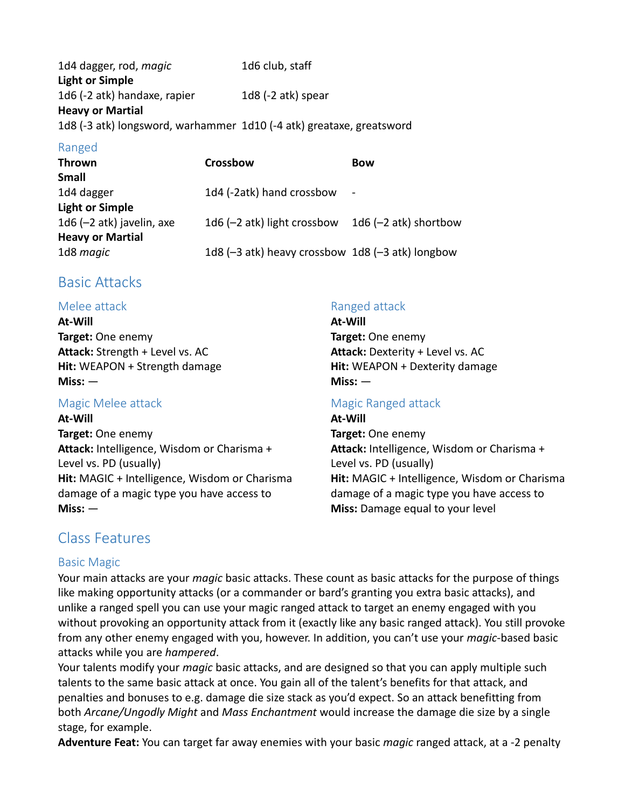1d4 dagger, rod, *magic* 1d6 club, staff **Light or Simple** 1d6 (-2 atk) handaxe, rapier 1d8 (-2 atk) spear **Heavy or Martial** 1d8 (-3 atk) longsword, warhammer 1d10 (-4 atk) greataxe, greatsword

### Ranged

| <b>Thrown</b>               | <b>Crossbow</b>                                  | <b>Bow</b>              |
|-----------------------------|--------------------------------------------------|-------------------------|
| Small                       |                                                  |                         |
| 1d4 dagger                  | 1d4 (-2atk) hand crossbow                        |                         |
| <b>Light or Simple</b>      |                                                  |                         |
| 1d6 $(-2$ atk) javelin, axe | 1d6 $(-2$ atk) light crossbow                    | 1d6 $(-2$ atk) shortbow |
| <b>Heavy or Martial</b>     |                                                  |                         |
| 1d8 magic                   | 1d8 (-3 atk) heavy crossbow 1d8 (-3 atk) longbow |                         |

# Basic Attacks

## Melee attack

**At-Will Target:** One enemy **Attack:** Strength + Level vs. AC **Hit:** WEAPON + Strength damage **Miss:** —

# Magic Melee attack

#### **At-Will**

**Target:** One enemy **Attack:** Intelligence, Wisdom or Charisma + Level vs. PD (usually) **Hit:** MAGIC + Intelligence, Wisdom or Charisma damage of a magic type you have access to **Miss:** —

# Ranged attack

**At-Will Target:** One enemy **Attack:** Dexterity + Level vs. AC **Hit:** WEAPON + Dexterity damage **Miss:** —

# Magic Ranged attack

**At-Will Target:** One enemy **Attack:** Intelligence, Wisdom or Charisma + Level vs. PD (usually) **Hit:** MAGIC + Intelligence, Wisdom or Charisma damage of a magic type you have access to **Miss:** Damage equal to your level

# Class Features

# Basic Magic

Your main attacks are your *magic* basic attacks. These count as basic attacks for the purpose of things like making opportunity attacks (or a commander or bard's granting you extra basic attacks), and unlike a ranged spell you can use your magic ranged attack to target an enemy engaged with you without provoking an opportunity attack from it (exactly like any basic ranged attack). You still provoke from any other enemy engaged with you, however. In addition, you can't use your *magic*-based basic attacks while you are *hampered*.

Your talents modify your *magic* basic attacks, and are designed so that you can apply multiple such talents to the same basic attack at once. You gain all of the talent's benefits for that attack, and penalties and bonuses to e.g. damage die size stack as you'd expect. So an attack benefitting from both *Arcane/Ungodly Might* and *Mass Enchantment* would increase the damage die size by a single stage, for example.

**Adventure Feat:** You can target far away enemies with your basic *magic* ranged attack, at a -2 penalty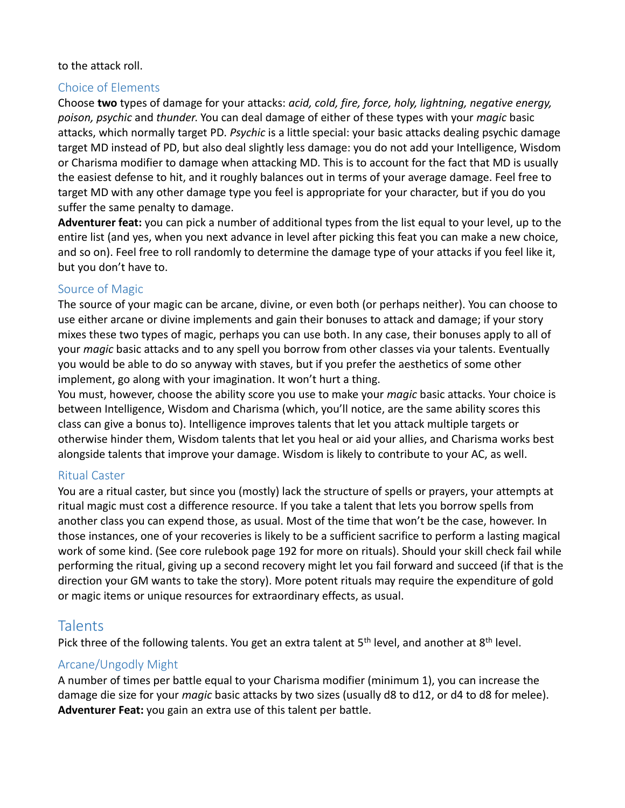#### to the attack roll.

### Choice of Elements

Choose **two** types of damage for your attacks: *acid, cold, fire, force, holy, lightning, negative energy, poison, psychic* and *thunder*. You can deal damage of either of these types with your *magic* basic attacks, which normally target PD. *Psychic* is a little special: your basic attacks dealing psychic damage target MD instead of PD, but also deal slightly less damage: you do not add your Intelligence, Wisdom or Charisma modifier to damage when attacking MD. This is to account for the fact that MD is usually the easiest defense to hit, and it roughly balances out in terms of your average damage. Feel free to target MD with any other damage type you feel is appropriate for your character, but if you do you suffer the same penalty to damage.

**Adventurer feat:** you can pick a number of additional types from the list equal to your level, up to the entire list (and yes, when you next advance in level after picking this feat you can make a new choice, and so on). Feel free to roll randomly to determine the damage type of your attacks if you feel like it, but you don't have to.

#### Source of Magic

The source of your magic can be arcane, divine, or even both (or perhaps neither). You can choose to use either arcane or divine implements and gain their bonuses to attack and damage; if your story mixes these two types of magic, perhaps you can use both. In any case, their bonuses apply to all of your *magic* basic attacks and to any spell you borrow from other classes via your talents. Eventually you would be able to do so anyway with staves, but if you prefer the aesthetics of some other implement, go along with your imagination. It won't hurt a thing.

You must, however, choose the ability score you use to make your *magic* basic attacks. Your choice is between Intelligence, Wisdom and Charisma (which, you'll notice, are the same ability scores this class can give a bonus to). Intelligence improves talents that let you attack multiple targets or otherwise hinder them, Wisdom talents that let you heal or aid your allies, and Charisma works best alongside talents that improve your damage. Wisdom is likely to contribute to your AC, as well.

### Ritual Caster

You are a ritual caster, but since you (mostly) lack the structure of spells or prayers, your attempts at ritual magic must cost a difference resource. If you take a talent that lets you borrow spells from another class you can expend those, as usual. Most of the time that won't be the case, however. In those instances, one of your recoveries is likely to be a sufficient sacrifice to perform a lasting magical work of some kind. (See core rulebook page 192 for more on rituals). Should your skill check fail while performing the ritual, giving up a second recovery might let you fail forward and succeed (if that is the direction your GM wants to take the story). More potent rituals may require the expenditure of gold or magic items or unique resources for extraordinary effects, as usual.

# **Talents**

Pick three of the following talents. You get an extra talent at 5<sup>th</sup> level, and another at 8<sup>th</sup> level.

### Arcane/Ungodly Might

A number of times per battle equal to your Charisma modifier (minimum 1), you can increase the damage die size for your *magic* basic attacks by two sizes (usually d8 to d12, or d4 to d8 for melee). **Adventurer Feat:** you gain an extra use of this talent per battle.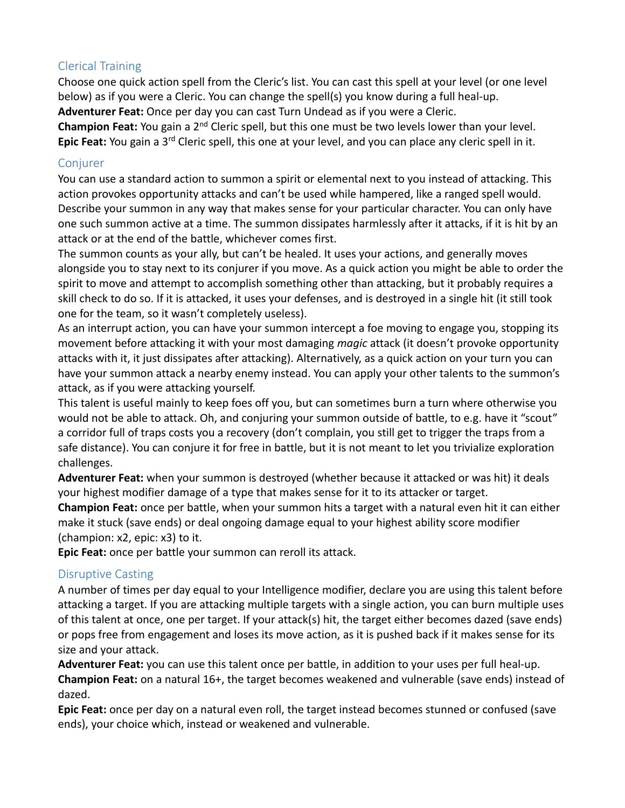# Clerical Training

Choose one quick action spell from the Cleric's list. You can cast this spell at your level (or one level below) as if you were a Cleric. You can change the spell(s) you know during a full heal-up. **Adventurer Feat:** Once per day you can cast Turn Undead as if you were a Cleric.

**Champion Feat:** You gain a 2nd Cleric spell, but this one must be two levels lower than your level. Epic Feat: You gain a 3<sup>rd</sup> Cleric spell, this one at your level, and you can place any cleric spell in it.

## **Conjurer**

You can use a standard action to summon a spirit or elemental next to you instead of attacking. This action provokes opportunity attacks and can't be used while hampered, like a ranged spell would. Describe your summon in any way that makes sense for your particular character. You can only have one such summon active at a time. The summon dissipates harmlessly after it attacks, if it is hit by an attack or at the end of the battle, whichever comes first.

The summon counts as your ally, but can't be healed. It uses your actions, and generally moves alongside you to stay next to its conjurer if you move. As a quick action you might be able to order the spirit to move and attempt to accomplish something other than attacking, but it probably requires a skill check to do so. If it is attacked, it uses your defenses, and is destroyed in a single hit (it still took one for the team, so it wasn't completely useless).

As an interrupt action, you can have your summon intercept a foe moving to engage you, stopping its movement before attacking it with your most damaging *magic* attack (it doesn't provoke opportunity attacks with it, it just dissipates after attacking). Alternatively, as a quick action on your turn you can have your summon attack a nearby enemy instead. You can apply your other talents to the summon's attack, as if you were attacking yourself.

This talent is useful mainly to keep foes off you, but can sometimes burn a turn where otherwise you would not be able to attack. Oh, and conjuring your summon outside of battle, to e.g. have it "scout" a corridor full of traps costs you a recovery (don't complain, you still get to trigger the traps from a safe distance). You can conjure it for free in battle, but it is not meant to let you trivialize exploration challenges.

**Adventurer Feat:** when your summon is destroyed (whether because it attacked or was hit) it deals your highest modifier damage of a type that makes sense for it to its attacker or target.

**Champion Feat:** once per battle, when your summon hits a target with a natural even hit it can either make it stuck (save ends) or deal ongoing damage equal to your highest ability score modifier (champion: x2, epic: x3) to it.

**Epic Feat:** once per battle your summon can reroll its attack.

# Disruptive Casting

A number of times per day equal to your Intelligence modifier, declare you are using this talent before attacking a target. If you are attacking multiple targets with a single action, you can burn multiple uses of this talent at once, one per target. If your attack(s) hit, the target either becomes dazed (save ends) or pops free from engagement and loses its move action, as it is pushed back if it makes sense for its size and your attack.

**Adventurer Feat:** you can use this talent once per battle, in addition to your uses per full heal-up.

**Champion Feat:** on a natural 16+, the target becomes weakened and vulnerable (save ends) instead of dazed.

**Epic Feat:** once per day on a natural even roll, the target instead becomes stunned or confused (save ends), your choice which, instead or weakened and vulnerable.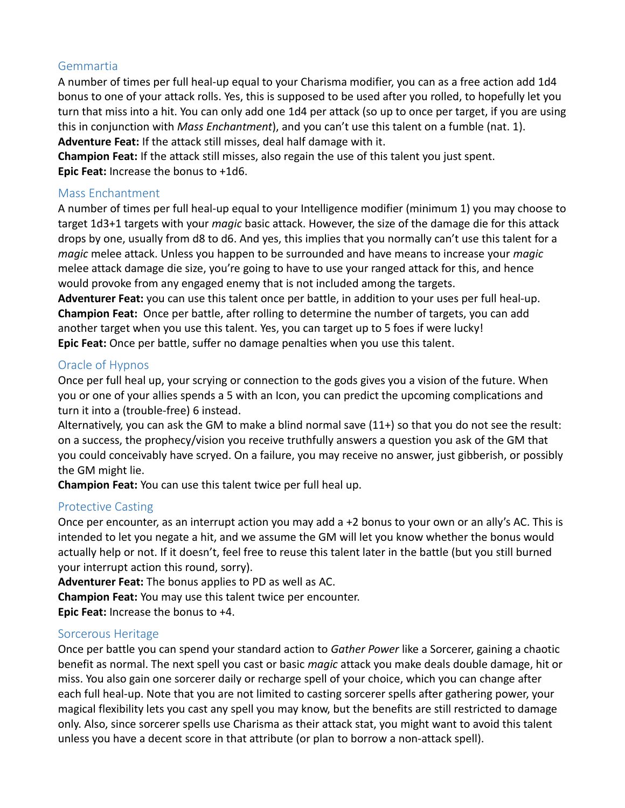# Gemmartia

A number of times per full heal-up equal to your Charisma modifier, you can as a free action add 1d4 bonus to one of your attack rolls. Yes, this is supposed to be used after you rolled, to hopefully let you turn that miss into a hit. You can only add one 1d4 per attack (so up to once per target, if you are using this in conjunction with *Mass Enchantment*), and you can't use this talent on a fumble (nat. 1). **Adventure Feat:** If the attack still misses, deal half damage with it.

**Champion Feat:** If the attack still misses, also regain the use of this talent you just spent. **Epic Feat:** Increase the bonus to +1d6.

#### Mass Enchantment

A number of times per full heal-up equal to your Intelligence modifier (minimum 1) you may choose to target 1d3+1 targets with your *magic* basic attack. However, the size of the damage die for this attack drops by one, usually from d8 to d6. And yes, this implies that you normally can't use this talent for a *magic* melee attack. Unless you happen to be surrounded and have means to increase your *magic* melee attack damage die size, you're going to have to use your ranged attack for this, and hence would provoke from any engaged enemy that is not included among the targets.

**Adventurer Feat:** you can use this talent once per battle, in addition to your uses per full heal-up. **Champion Feat:** Once per battle, after rolling to determine the number of targets, you can add another target when you use this talent. Yes, you can target up to 5 foes if were lucky! **Epic Feat:** Once per battle, suffer no damage penalties when you use this talent.

## Oracle of Hypnos

Once per full heal up, your scrying or connection to the gods gives you a vision of the future. When you or one of your allies spends a 5 with an Icon, you can predict the upcoming complications and turn it into a (trouble-free) 6 instead.

Alternatively, you can ask the GM to make a blind normal save (11+) so that you do not see the result: on a success, the prophecy/vision you receive truthfully answers a question you ask of the GM that you could conceivably have scryed. On a failure, you may receive no answer, just gibberish, or possibly the GM might lie.

**Champion Feat:** You can use this talent twice per full heal up.

### Protective Casting

Once per encounter, as an interrupt action you may add a +2 bonus to your own or an ally's AC. This is intended to let you negate a hit, and we assume the GM will let you know whether the bonus would actually help or not. If it doesn't, feel free to reuse this talent later in the battle (but you still burned your interrupt action this round, sorry).

**Adventurer Feat:** The bonus applies to PD as well as AC.

**Champion Feat:** You may use this talent twice per encounter.

**Epic Feat:** Increase the bonus to +4.

### Sorcerous Heritage

Once per battle you can spend your standard action to *Gather Power* like a Sorcerer, gaining a chaotic benefit as normal. The next spell you cast or basic *magic* attack you make deals double damage, hit or miss. You also gain one sorcerer daily or recharge spell of your choice, which you can change after each full heal-up. Note that you are not limited to casting sorcerer spells after gathering power, your magical flexibility lets you cast any spell you may know, but the benefits are still restricted to damage only. Also, since sorcerer spells use Charisma as their attack stat, you might want to avoid this talent unless you have a decent score in that attribute (or plan to borrow a non-attack spell).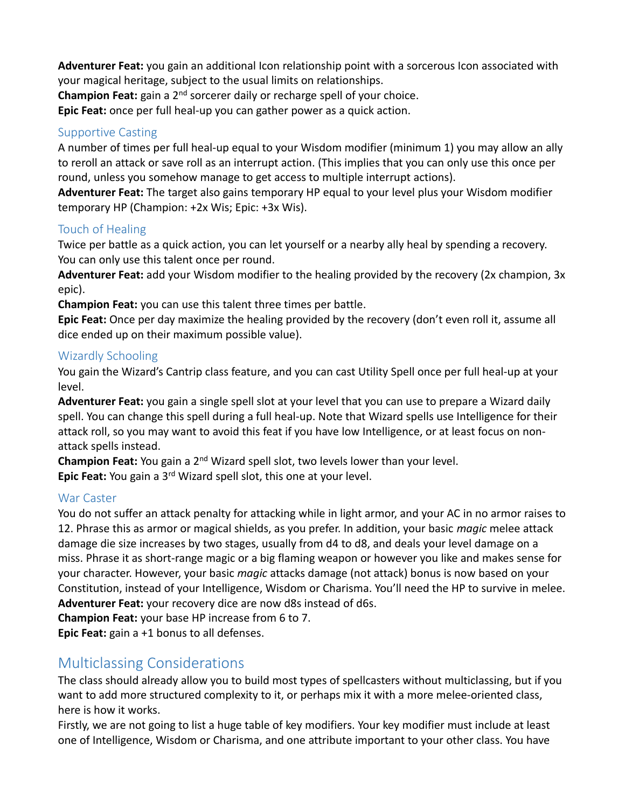**Adventurer Feat:** you gain an additional Icon relationship point with a sorcerous Icon associated with your magical heritage, subject to the usual limits on relationships.

**Champion Feat:** gain a 2<sup>nd</sup> sorcerer daily or recharge spell of your choice.

**Epic Feat:** once per full heal-up you can gather power as a quick action.

# Supportive Casting

A number of times per full heal-up equal to your Wisdom modifier (minimum 1) you may allow an ally to reroll an attack or save roll as an interrupt action. (This implies that you can only use this once per round, unless you somehow manage to get access to multiple interrupt actions).

**Adventurer Feat:** The target also gains temporary HP equal to your level plus your Wisdom modifier temporary HP (Champion: +2x Wis; Epic: +3x Wis).

### Touch of Healing

Twice per battle as a quick action, you can let yourself or a nearby ally heal by spending a recovery. You can only use this talent once per round.

**Adventurer Feat:** add your Wisdom modifier to the healing provided by the recovery (2x champion, 3x epic).

**Champion Feat:** you can use this talent three times per battle.

**Epic Feat:** Once per day maximize the healing provided by the recovery (don't even roll it, assume all dice ended up on their maximum possible value).

## Wizardly Schooling

You gain the Wizard's Cantrip class feature, and you can cast Utility Spell once per full heal-up at your level.

**Adventurer Feat:** you gain a single spell slot at your level that you can use to prepare a Wizard daily spell. You can change this spell during a full heal-up. Note that Wizard spells use Intelligence for their attack roll, so you may want to avoid this feat if you have low Intelligence, or at least focus on nonattack spells instead.

**Champion Feat:** You gain a 2nd Wizard spell slot, two levels lower than your level.

**Epic Feat:** You gain a 3rd Wizard spell slot, this one at your level.

### War Caster

You do not suffer an attack penalty for attacking while in light armor, and your AC in no armor raises to 12. Phrase this as armor or magical shields, as you prefer. In addition, your basic *magic* melee attack damage die size increases by two stages, usually from d4 to d8, and deals your level damage on a miss. Phrase it as short-range magic or a big flaming weapon or however you like and makes sense for your character. However, your basic *magic* attacks damage (not attack) bonus is now based on your Constitution, instead of your Intelligence, Wisdom or Charisma. You'll need the HP to survive in melee. **Adventurer Feat:** your recovery dice are now d8s instead of d6s.

**Champion Feat:** your base HP increase from 6 to 7.

**Epic Feat:** gain a +1 bonus to all defenses.

# Multiclassing Considerations

The class should already allow you to build most types of spellcasters without multiclassing, but if you want to add more structured complexity to it, or perhaps mix it with a more melee-oriented class, here is how it works.

Firstly, we are not going to list a huge table of key modifiers. Your key modifier must include at least one of Intelligence, Wisdom or Charisma, and one attribute important to your other class. You have